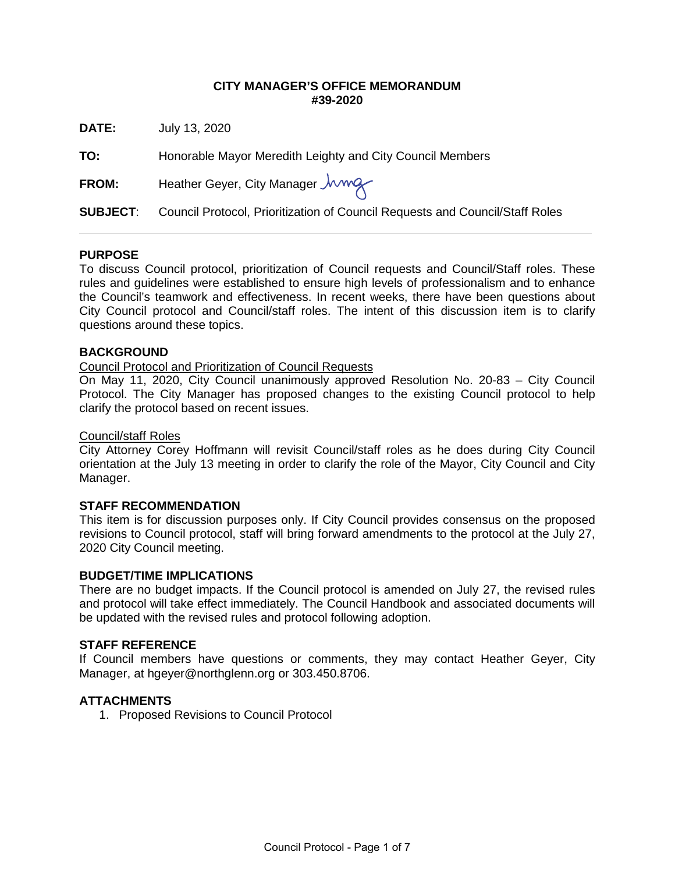### **CITY MANAGER'S OFFICE MEMORANDUM #39-2020**

**DATE:** July 13, 2020

**TO:** Honorable Mayor Meredith Leighty and City Council Members

FROM: Heather Geyer, City Manager *Jwwg* 

**SUBJECT**: Council Protocol, Prioritization of Council Requests and Council/Staff Roles

### **PURPOSE**

To discuss Council protocol, prioritization of Council requests and Council/Staff roles. These rules and guidelines were established to ensure high levels of professionalism and to enhance the Council's teamwork and effectiveness. In recent weeks, there have been questions about City Council protocol and Council/staff roles. The intent of this discussion item is to clarify questions around these topics.

### **BACKGROUND**

### Council Protocol and Prioritization of Council Requests

On May 11, 2020, City Council unanimously approved Resolution No. 20-83 – City Council Protocol. The City Manager has proposed changes to the existing Council protocol to help clarify the protocol based on recent issues.

#### Council/staff Roles

City Attorney Corey Hoffmann will revisit Council/staff roles as he does during City Council orientation at the July 13 meeting in order to clarify the role of the Mayor, City Council and City Manager.

#### **STAFF RECOMMENDATION**

This item is for discussion purposes only. If City Council provides consensus on the proposed revisions to Council protocol, staff will bring forward amendments to the protocol at the July 27, 2020 City Council meeting.

#### **BUDGET/TIME IMPLICATIONS**

There are no budget impacts. If the Council protocol is amended on July 27, the revised rules and protocol will take effect immediately. The Council Handbook and associated documents will be updated with the revised rules and protocol following adoption.

### **STAFF REFERENCE**

If Council members have questions or comments, they may contact Heather Geyer, City Manager, at [hgeyer@northglenn.org o](mailto:hgeyer@northglenn.org)r 303.450.8706.

#### **ATTACHMENTS**

1. Proposed Revisions to Council Protocol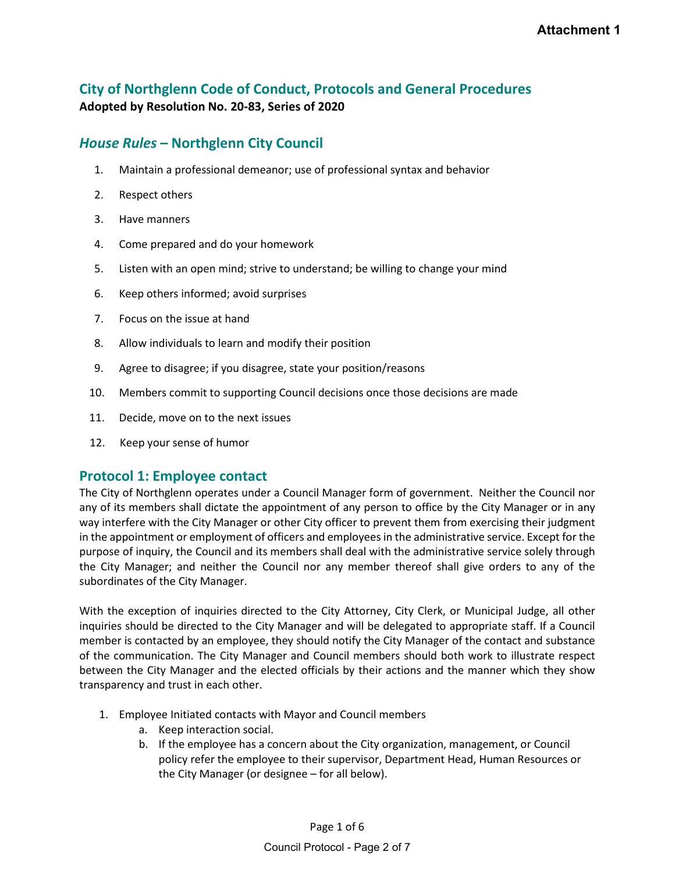## **City of Northglenn Code of Conduct, Protocols and General Procedures Adopted by Resolution No. 20-83, Series of 2020**

## *House Rules* **– Northglenn City Council**

- 1. Maintain a professional demeanor; use of professional syntax and behavior
- 2. Respect others
- 3. Have manners
- 4. Come prepared and do your homework
- 5. Listen with an open mind; strive to understand; be willing to change your mind
- 6. Keep others informed; avoid surprises
- 7. Focus on the issue at hand
- 8. Allow individuals to learn and modify their position
- 9. Agree to disagree; if you disagree, state your position/reasons
- 10. Members commit to supporting Council decisions once those decisions are made
- 11. Decide, move on to the next issues
- 12. Keep your sense of humor

## **Protocol 1: Employee contact**

The City of Northglenn operates under a Council Manager form of government. Neither the Council nor any of its members shall dictate the appointment of any person to office by the City Manager or in any way interfere with the City Manager or other City officer to prevent them from exercising their judgment in the appointment or employment of officers and employees in the administrative service. Except for the purpose of inquiry, the Council and its members shall deal with the administrative service solely through the City Manager; and neither the Council nor any member thereof shall give orders to any of the subordinates of the City Manager.

With the exception of inquiries directed to the City Attorney, City Clerk, or Municipal Judge, all other inquiries should be directed to the City Manager and will be delegated to appropriate staff. If a Council member is contacted by an employee, they should notify the City Manager of the contact and substance of the communication. The City Manager and Council members should both work to illustrate respect between the City Manager and the elected officials by their actions and the manner which they show transparency and trust in each other.

- 1. Employee Initiated contacts with Mayor and Council members
	- a. Keep interaction social.
	- b. If the employee has a concern about the City organization, management, or Council policy refer the employee to their supervisor, Department Head, Human Resources or the City Manager (or designee – for all below).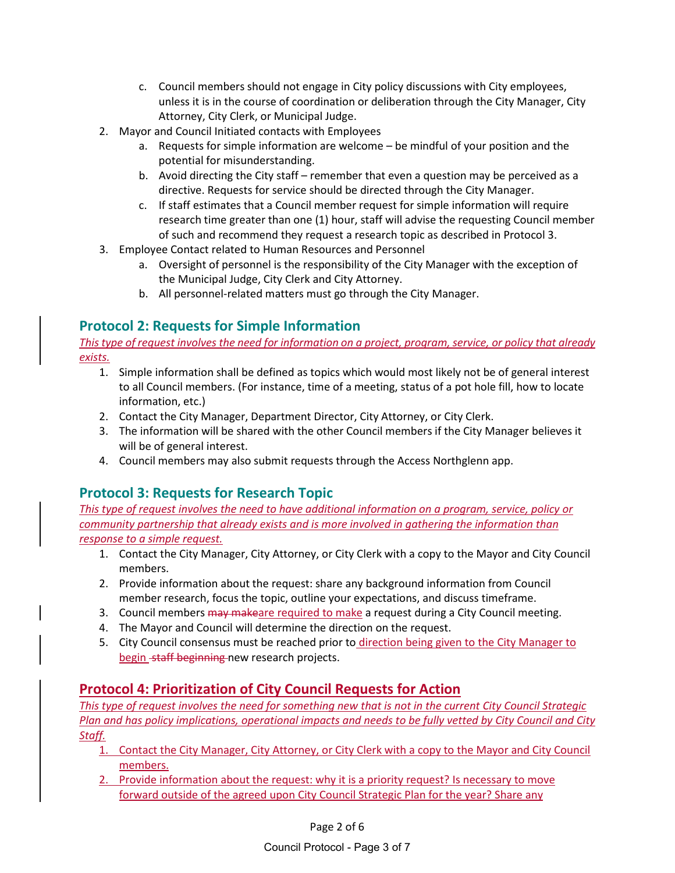- c. Council members should not engage in City policy discussions with City employees, unless it is in the course of coordination or deliberation through the City Manager, City Attorney, City Clerk, or Municipal Judge.
- 2. Mayor and Council Initiated contacts with Employees
	- a. Requests for simple information are welcome be mindful of your position and the potential for misunderstanding.
	- b. Avoid directing the City staff remember that even a question may be perceived as a directive. Requests for service should be directed through the City Manager.
	- c. If staff estimates that a Council member request for simple information will require research time greater than one (1) hour, staff will advise the requesting Council member of such and recommend they request a research topic as described in Protocol 3.
- 3. Employee Contact related to Human Resources and Personnel
	- a. Oversight of personnel is the responsibility of the City Manager with the exception of the Municipal Judge, City Clerk and City Attorney.
	- b. All personnel-related matters must go through the City Manager.

# **Protocol 2: Requests for Simple Information**

*This type of request involves the need for information on a project, program, service, or policy that already exists.*

- 1. Simple information shall be defined as topics which would most likely not be of general interest to all Council members. (For instance, time of a meeting, status of a pot hole fill, how to locate information, etc.)
- 2. Contact the City Manager, Department Director, City Attorney, or City Clerk.
- 3. The information will be shared with the other Council members if the City Manager believes it will be of general interest.
- 4. Council members may also submit requests through the Access Northglenn app.

## **Protocol 3: Requests for Research Topic**

*This type of request involves the need to have additional information on a program, service, policy or community partnership that already exists and is more involved in gathering the information than response to a simple request.*

- 1. Contact the City Manager, City Attorney, or City Clerk with a copy to the Mayor and City Council members.
- 2. Provide information about the request: share any background information from Council member research, focus the topic, outline your expectations, and discuss timeframe.
- 3. Council members may makeare required to make a request during a City Council meeting.
- 4. The Mayor and Council will determine the direction on the request.
- 5. City Council consensus must be reached prior to direction being given to the City Manager to begin staff beginning new research projects.

## **Protocol 4: Prioritization of City Council Requests for Action**

*This type of request involves the need for something new that is not in the current City Council Strategic Plan and has policy implications, operational impacts and needs to be fully vetted by City Council and City Staff.*

- 1. Contact the City Manager, City Attorney, or City Clerk with a copy to the Mayor and City Council members.
- 2. Provide information about the request: why it is a priority request? Is necessary to move forward outside of the agreed upon City Council Strategic Plan for the year? Share any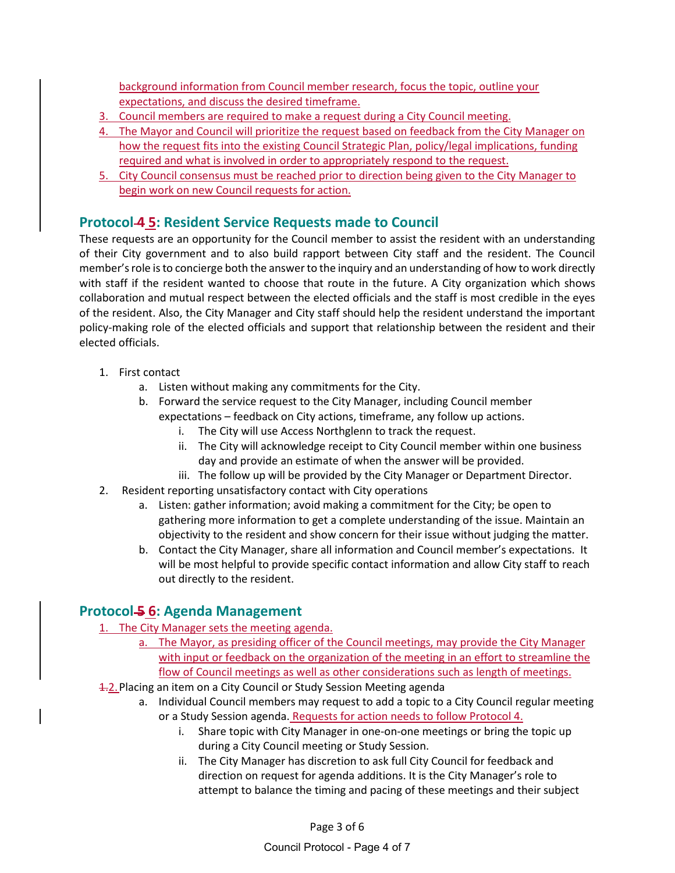background information from Council member research, focus the topic, outline your expectations, and discuss the desired timeframe.

- 3. Council members are required to make a request during a City Council meeting.
- 4. The Mayor and Council will prioritize the request based on feedback from the City Manager on how the request fits into the existing Council Strategic Plan, policy/legal implications, funding required and what is involved in order to appropriately respond to the request.
- 5. City Council consensus must be reached prior to direction being given to the City Manager to begin work on new Council requests for action.

## **Protocol 4 5: Resident Service Requests made to Council**

These requests are an opportunity for the Council member to assist the resident with an understanding of their City government and to also build rapport between City staff and the resident. The Council member's role is to concierge both the answer to the inquiry and an understanding of how to work directly with staff if the resident wanted to choose that route in the future. A City organization which shows collaboration and mutual respect between the elected officials and the staff is most credible in the eyes of the resident. Also, the City Manager and City staff should help the resident understand the important policy-making role of the elected officials and support that relationship between the resident and their elected officials.

- 1. First contact
	- a. Listen without making any commitments for the City.
	- b. Forward the service request to the City Manager, including Council member expectations – feedback on City actions, timeframe, any follow up actions.
		- i. The City will use Access Northglenn to track the request.
		- ii. The City will acknowledge receipt to City Council member within one business day and provide an estimate of when the answer will be provided.
		- iii. The follow up will be provided by the City Manager or Department Director.
- 2. Resident reporting unsatisfactory contact with City operations
	- a. Listen: gather information; avoid making a commitment for the City; be open to gathering more information to get a complete understanding of the issue. Maintain an objectivity to the resident and show concern for their issue without judging the matter.
	- b. Contact the City Manager, share all information and Council member's expectations. It will be most helpful to provide specific contact information and allow City staff to reach out directly to the resident.

### **Protocol 5 6: Agenda Management**

- 1. The City Manager sets the meeting agenda.
	- a. The Mayor, as presiding officer of the Council meetings, may provide the City Manager with input or feedback on the organization of the meeting in an effort to streamline the flow of Council meetings as well as other considerations such as length of meetings.
- **1.2. Placing an item on a City Council or Study Session Meeting agenda** 
	- a. Individual Council members may request to add a topic to a City Council regular meeting or a Study Session agenda. Requests for action needs to follow Protocol 4.
		- i. Share topic with City Manager in one-on-one meetings or bring the topic up during a City Council meeting or Study Session.
		- ii. The City Manager has discretion to ask full City Council for feedback and direction on request for agenda additions. It is the City Manager's role to attempt to balance the timing and pacing of these meetings and their subject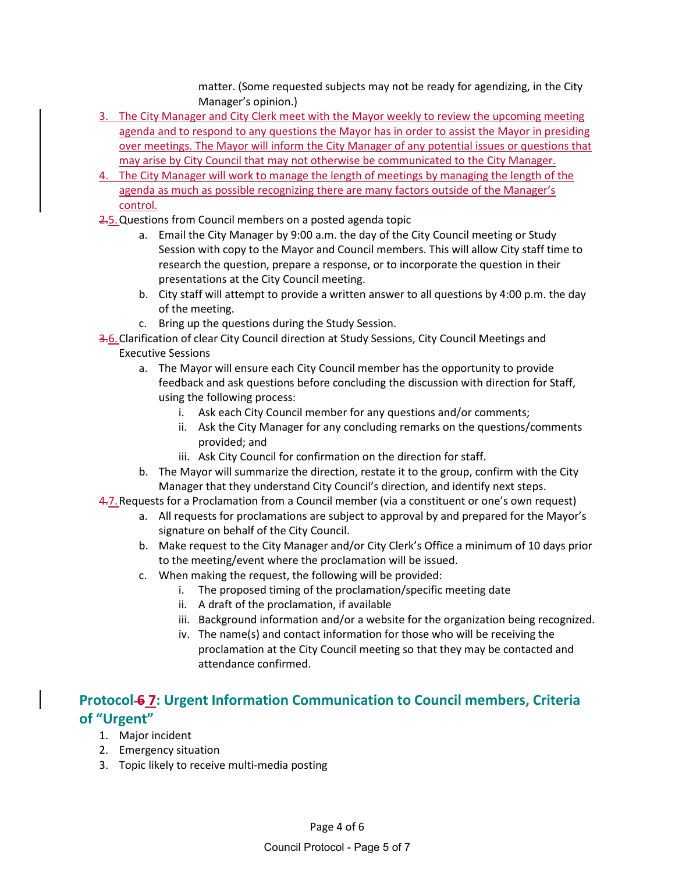matter. (Some requested subjects may not be ready for agendizing, in the City Manager's opinion.)

- 3. The City Manager and City Clerk meet with the Mayor weekly to review the upcoming meeting agenda and to respond to any questions the Mayor has in order to assist the Mayor in presiding over meetings. The Mayor will inform the City Manager of any potential issues or questions that may arise by City Council that may not otherwise be communicated to the City Manager.
- 4. The City Manager will work to manage the length of meetings by managing the length of the agenda as much as possible recognizing there are many factors outside of the Manager's control.
- 2.5. Questions from Council members on a posted agenda topic
	- a. Email the City Manager by 9:00 a.m. the day of the City Council meeting or Study Session with copy to the Mayor and Council members. This will allow City staff time to research the question, prepare a response, or to incorporate the question in their presentations at the City Council meeting.
	- b. City staff will attempt to provide a written answer to all questions by 4:00 p.m. the day of the meeting.
	- c. Bring up the questions during the Study Session.
- 3.6. Clarification of clear City Council direction at Study Sessions, City Council Meetings and Executive Sessions
	- a. The Mayor will ensure each City Council member has the opportunity to provide feedback and ask questions before concluding the discussion with direction for Staff, using the following process:
		- i. Ask each City Council member for any questions and/or comments;
		- ii. Ask the City Manager for any concluding remarks on the questions/comments provided; and
		- iii. Ask City Council for confirmation on the direction for staff.
	- b. The Mayor will summarize the direction, restate it to the group, confirm with the City Manager that they understand City Council's direction, and identify next steps.
- 4.7. Requests for a Proclamation from a Council member (via a constituent or one's own request)
	- a. All requests for proclamations are subject to approval by and prepared for the Mayor's signature on behalf of the City Council.
	- b. Make request to the City Manager and/or City Clerk's Office a minimum of 10 days prior to the meeting/event where the proclamation will be issued.
	- c. When making the request, the following will be provided:
		- i. The proposed timing of the proclamation/specific meeting date
		- ii. A draft of the proclamation, if available
		- iii. Background information and/or a website for the organization being recognized.
		- iv. The name(s) and contact information for those who will be receiving the proclamation at the City Council meeting so that they may be contacted and attendance confirmed.

# **Protocol 6 7: Urgent Information Communication to Council members, Criteria of "Urgent"**

- 1. Major incident
- 2. Emergency situation
- 3. Topic likely to receive multi-media posting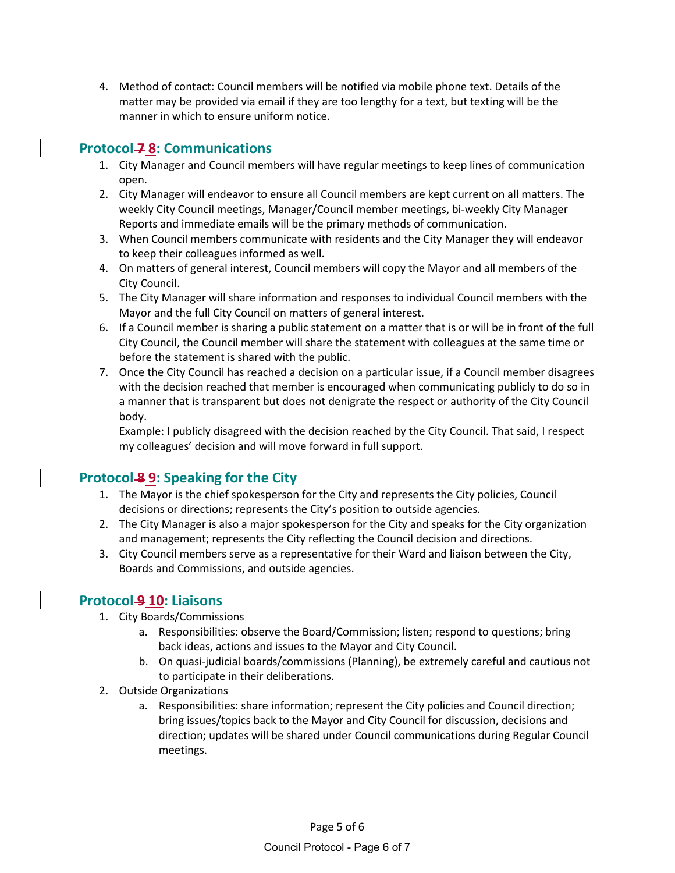4. Method of contact: Council members will be notified via mobile phone text. Details of the matter may be provided via email if they are too lengthy for a text, but texting will be the manner in which to ensure uniform notice.

# **Protocol 7 8: Communications**

- 1. City Manager and Council members will have regular meetings to keep lines of communication open.
- 2. City Manager will endeavor to ensure all Council members are kept current on all matters. The weekly City Council meetings, Manager/Council member meetings, bi-weekly City Manager Reports and immediate emails will be the primary methods of communication.
- 3. When Council members communicate with residents and the City Manager they will endeavor to keep their colleagues informed as well.
- 4. On matters of general interest, Council members will copy the Mayor and all members of the City Council.
- 5. The City Manager will share information and responses to individual Council members with the Mayor and the full City Council on matters of general interest.
- 6. If a Council member is sharing a public statement on a matter that is or will be in front of the full City Council, the Council member will share the statement with colleagues at the same time or before the statement is shared with the public.
- 7. Once the City Council has reached a decision on a particular issue, if a Council member disagrees with the decision reached that member is encouraged when communicating publicly to do so in a manner that is transparent but does not denigrate the respect or authority of the City Council body.

Example: I publicly disagreed with the decision reached by the City Council. That said, I respect my colleagues' decision and will move forward in full support.

# **Protocol 8 9: Speaking for the City**

- 1. The Mayor is the chief spokesperson for the City and represents the City policies, Council decisions or directions; represents the City's position to outside agencies.
- 2. The City Manager is also a major spokesperson for the City and speaks for the City organization and management; represents the City reflecting the Council decision and directions.
- 3. City Council members serve as a representative for their Ward and liaison between the City, Boards and Commissions, and outside agencies.

## **Protocol-9 10: Liaisons**

- 1. City Boards/Commissions
	- a. Responsibilities: observe the Board/Commission; listen; respond to questions; bring back ideas, actions and issues to the Mayor and City Council.
	- b. On quasi-judicial boards/commissions (Planning), be extremely careful and cautious not to participate in their deliberations.
- 2. Outside Organizations
	- a. Responsibilities: share information; represent the City policies and Council direction; bring issues/topics back to the Mayor and City Council for discussion, decisions and direction; updates will be shared under Council communications during Regular Council meetings.